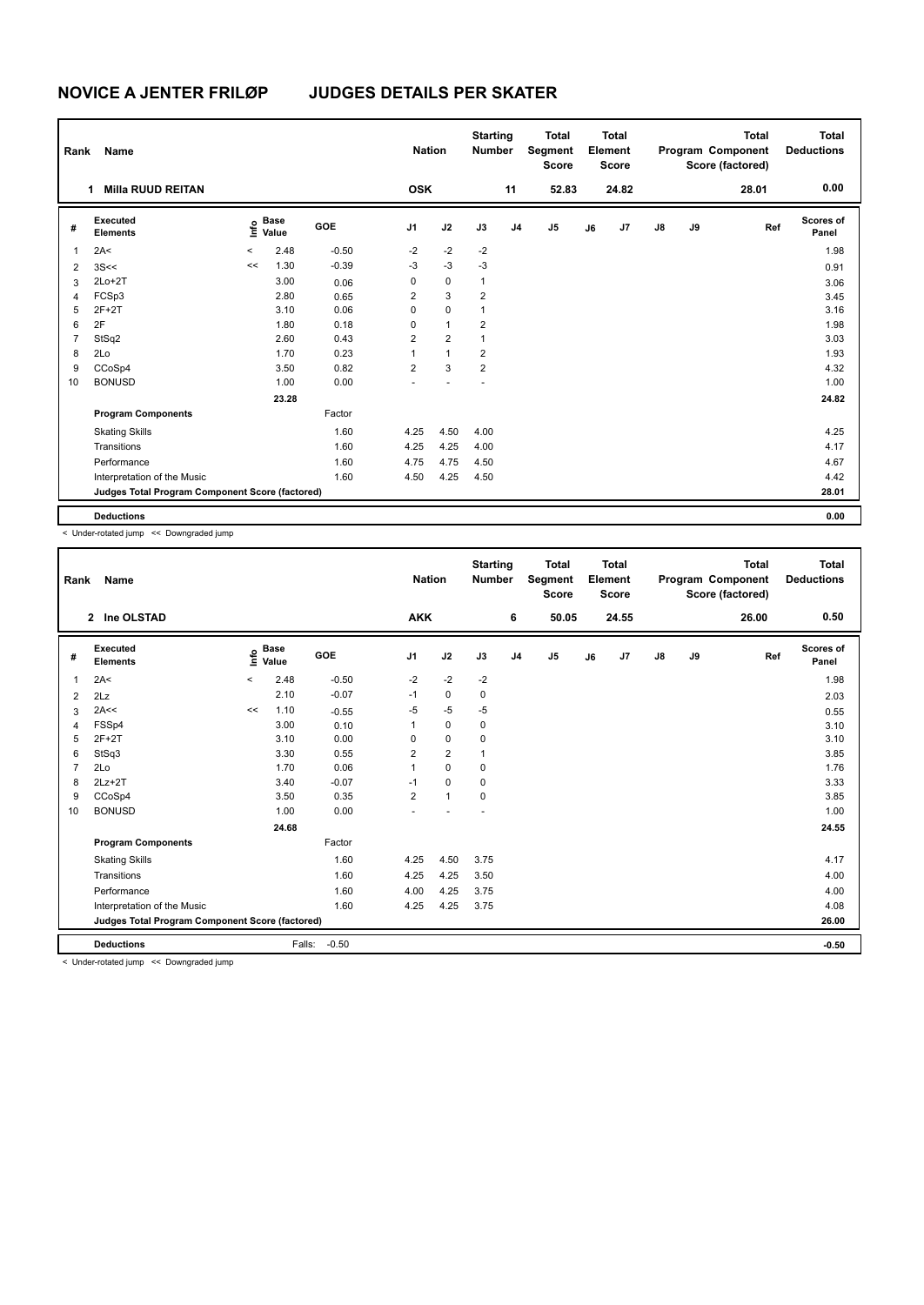| Rank           | Name                                            |       |                                             |         | <b>Nation</b>  |                | <b>Starting</b><br><b>Number</b> |                | <b>Total</b><br>Segment<br><b>Score</b> |    | <b>Total</b><br>Element<br><b>Score</b> |               |    | <b>Total</b><br>Program Component<br>Score (factored) | <b>Total</b><br><b>Deductions</b> |
|----------------|-------------------------------------------------|-------|---------------------------------------------|---------|----------------|----------------|----------------------------------|----------------|-----------------------------------------|----|-----------------------------------------|---------------|----|-------------------------------------------------------|-----------------------------------|
|                | <b>Milla RUUD REITAN</b><br>1                   |       |                                             |         | <b>OSK</b>     |                |                                  | 11             | 52.83                                   |    | 24.82                                   |               |    | 28.01                                                 | 0.00                              |
| #              | Executed<br><b>Elements</b>                     |       | <b>Base</b><br>e <sup>Base</sup><br>⊆ Value | GOE     | J <sub>1</sub> | J2             | J3                               | J <sub>4</sub> | J <sub>5</sub>                          | J6 | J7                                      | $\mathsf{J}8$ | J9 | Ref                                                   | Scores of<br>Panel                |
| $\overline{1}$ | 2A<                                             | $\,<$ | 2.48                                        | $-0.50$ | $-2$           | $-2$           | $-2$                             |                |                                         |    |                                         |               |    |                                                       | 1.98                              |
| $\overline{2}$ | 3S <                                            | <<    | 1.30                                        | $-0.39$ | $-3$           | $-3$           | $-3$                             |                |                                         |    |                                         |               |    |                                                       | 0.91                              |
| 3              | $2Lo+2T$                                        |       | 3.00                                        | 0.06    | 0              | 0              | $\mathbf{1}$                     |                |                                         |    |                                         |               |    |                                                       | 3.06                              |
| 4              | FCSp3                                           |       | 2.80                                        | 0.65    | $\overline{2}$ | 3              | $\overline{2}$                   |                |                                         |    |                                         |               |    |                                                       | 3.45                              |
| 5              | $2F+2T$                                         |       | 3.10                                        | 0.06    | 0              | $\mathbf 0$    | 1                                |                |                                         |    |                                         |               |    |                                                       | 3.16                              |
| 6              | 2F                                              |       | 1.80                                        | 0.18    | 0              | $\mathbf{1}$   | $\overline{2}$                   |                |                                         |    |                                         |               |    |                                                       | 1.98                              |
| $\overline{7}$ | StSq2                                           |       | 2.60                                        | 0.43    | $\overline{2}$ | $\overline{2}$ | $\mathbf{1}$                     |                |                                         |    |                                         |               |    |                                                       | 3.03                              |
| 8              | 2Lo                                             |       | 1.70                                        | 0.23    | 1              | $\mathbf{1}$   | $\overline{2}$                   |                |                                         |    |                                         |               |    |                                                       | 1.93                              |
| 9              | CCoSp4                                          |       | 3.50                                        | 0.82    | $\overline{2}$ | 3              | $\overline{\mathbf{c}}$          |                |                                         |    |                                         |               |    |                                                       | 4.32                              |
| 10             | <b>BONUSD</b>                                   |       | 1.00                                        | 0.00    |                |                |                                  |                |                                         |    |                                         |               |    |                                                       | 1.00                              |
|                |                                                 |       | 23.28                                       |         |                |                |                                  |                |                                         |    |                                         |               |    |                                                       | 24.82                             |
|                | <b>Program Components</b>                       |       |                                             | Factor  |                |                |                                  |                |                                         |    |                                         |               |    |                                                       |                                   |
|                | <b>Skating Skills</b>                           |       |                                             | 1.60    | 4.25           | 4.50           | 4.00                             |                |                                         |    |                                         |               |    |                                                       | 4.25                              |
|                | Transitions                                     |       |                                             | 1.60    | 4.25           | 4.25           | 4.00                             |                |                                         |    |                                         |               |    |                                                       | 4.17                              |
|                | Performance                                     |       |                                             | 1.60    | 4.75           | 4.75           | 4.50                             |                |                                         |    |                                         |               |    |                                                       | 4.67                              |
|                | Interpretation of the Music                     |       |                                             | 1.60    | 4.50           | 4.25           | 4.50                             |                |                                         |    |                                         |               |    |                                                       | 4.42                              |
|                | Judges Total Program Component Score (factored) |       |                                             |         |                |                |                                  |                |                                         |    |                                         |               |    |                                                       | 28.01                             |
|                | <b>Deductions</b>                               |       |                                             |         |                |                |                                  |                |                                         |    |                                         |               |    |                                                       | 0.00                              |

< Under-rotated jump << Downgraded jump

| Rank | Name                                            |         |                      |         | <b>Nation</b>  |                | <b>Starting</b><br><b>Number</b> |                | <b>Total</b><br>Segment<br><b>Score</b> |    | <b>Total</b><br>Element<br><b>Score</b> |               |    | <b>Total</b><br>Program Component<br>Score (factored) | <b>Total</b><br><b>Deductions</b> |
|------|-------------------------------------------------|---------|----------------------|---------|----------------|----------------|----------------------------------|----------------|-----------------------------------------|----|-----------------------------------------|---------------|----|-------------------------------------------------------|-----------------------------------|
|      | 2 Ine OLSTAD                                    |         |                      |         | <b>AKK</b>     |                |                                  | 6              | 50.05                                   |    | 24.55                                   |               |    | 26.00                                                 | 0.50                              |
| #    | Executed<br><b>Elements</b>                     | ۴٥      | <b>Base</b><br>Value | GOE     | J <sub>1</sub> | J2             | J3                               | J <sub>4</sub> | J5                                      | J6 | J7                                      | $\mathsf{J}8$ | J9 | Ref                                                   | <b>Scores of</b><br>Panel         |
| 1    | 2A<                                             | $\prec$ | 2.48                 | $-0.50$ | $-2$           | $-2$           | $-2$                             |                |                                         |    |                                         |               |    |                                                       | 1.98                              |
| 2    | 2Lz                                             |         | 2.10                 | $-0.07$ | $-1$           | $\mathbf 0$    | $\pmb{0}$                        |                |                                         |    |                                         |               |    |                                                       | 2.03                              |
| 3    | 2A<<                                            | <<      | 1.10                 | $-0.55$ | $-5$           | $-5$           | $-5$                             |                |                                         |    |                                         |               |    |                                                       | 0.55                              |
| 4    | FSSp4                                           |         | 3.00                 | 0.10    | 1              | $\mathbf 0$    | $\mathbf 0$                      |                |                                         |    |                                         |               |    |                                                       | 3.10                              |
| 5    | $2F+2T$                                         |         | 3.10                 | 0.00    | 0              | $\mathbf 0$    | 0                                |                |                                         |    |                                         |               |    |                                                       | 3.10                              |
| 6    | StSq3                                           |         | 3.30                 | 0.55    | $\overline{2}$ | $\overline{2}$ | $\mathbf{1}$                     |                |                                         |    |                                         |               |    |                                                       | 3.85                              |
| 7    | 2Lo                                             |         | 1.70                 | 0.06    | $\mathbf{1}$   | $\mathbf 0$    | $\mathbf 0$                      |                |                                         |    |                                         |               |    |                                                       | 1.76                              |
| 8    | $2Lz+2T$                                        |         | 3.40                 | $-0.07$ | $-1$           | $\mathbf 0$    | 0                                |                |                                         |    |                                         |               |    |                                                       | 3.33                              |
| 9    | CCoSp4                                          |         | 3.50                 | 0.35    | $\overline{2}$ | $\mathbf{1}$   | 0                                |                |                                         |    |                                         |               |    |                                                       | 3.85                              |
| 10   | <b>BONUSD</b>                                   |         | 1.00                 | 0.00    |                |                |                                  |                |                                         |    |                                         |               |    |                                                       | 1.00                              |
|      |                                                 |         | 24.68                |         |                |                |                                  |                |                                         |    |                                         |               |    |                                                       | 24.55                             |
|      | <b>Program Components</b>                       |         |                      | Factor  |                |                |                                  |                |                                         |    |                                         |               |    |                                                       |                                   |
|      | <b>Skating Skills</b>                           |         |                      | 1.60    | 4.25           | 4.50           | 3.75                             |                |                                         |    |                                         |               |    |                                                       | 4.17                              |
|      | Transitions                                     |         |                      | 1.60    | 4.25           | 4.25           | 3.50                             |                |                                         |    |                                         |               |    |                                                       | 4.00                              |
|      | Performance                                     |         |                      | 1.60    | 4.00           | 4.25           | 3.75                             |                |                                         |    |                                         |               |    |                                                       | 4.00                              |
|      | Interpretation of the Music                     |         |                      | 1.60    | 4.25           | 4.25           | 3.75                             |                |                                         |    |                                         |               |    |                                                       | 4.08                              |
|      | Judges Total Program Component Score (factored) |         |                      |         |                |                |                                  |                |                                         |    |                                         |               |    |                                                       | 26.00                             |
|      | <b>Deductions</b>                               |         | Falls:               | $-0.50$ |                |                |                                  |                |                                         |    |                                         |               |    |                                                       | $-0.50$                           |

< Under-rotated jump << Downgraded jump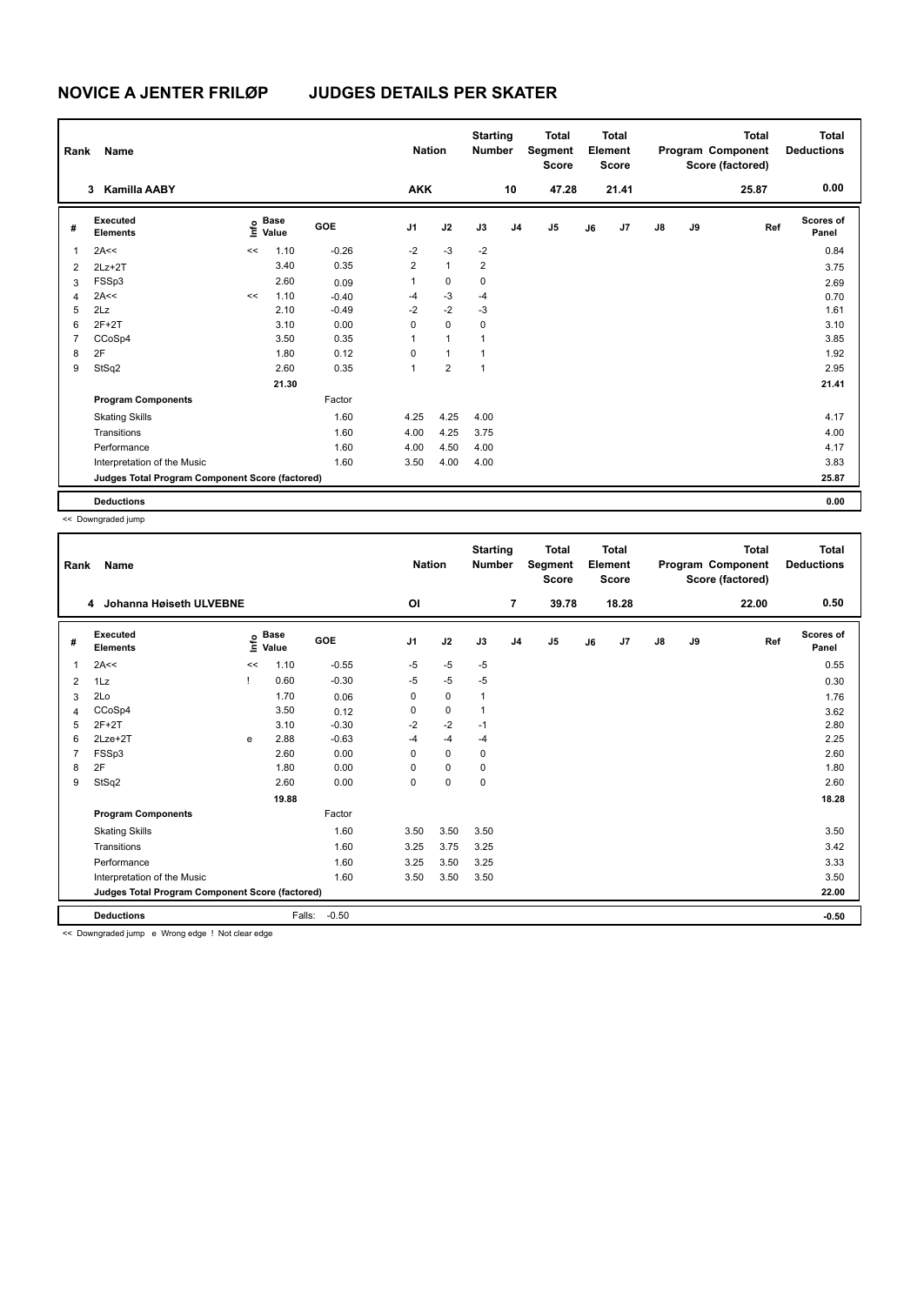| Rank           | Name                                            |      |                      |            | <b>Nation</b>  |                         | <b>Starting</b><br><b>Number</b> |                | <b>Total</b><br>Segment<br><b>Score</b> |    | <b>Total</b><br>Element<br><b>Score</b> |               |    | Total<br>Program Component<br>Score (factored) | <b>Total</b><br><b>Deductions</b> |
|----------------|-------------------------------------------------|------|----------------------|------------|----------------|-------------------------|----------------------------------|----------------|-----------------------------------------|----|-----------------------------------------|---------------|----|------------------------------------------------|-----------------------------------|
|                | <b>Kamilla AABY</b><br>3                        |      |                      |            | <b>AKK</b>     |                         |                                  | 10             | 47.28                                   |    | 21.41                                   |               |    | 25.87                                          | 0.00                              |
| #              | Executed<br><b>Elements</b>                     | ١nf٥ | <b>Base</b><br>Value | <b>GOE</b> | J <sub>1</sub> | J2                      | J3                               | J <sub>4</sub> | J5                                      | J6 | J7                                      | $\mathsf{J}8$ | J9 | Ref                                            | Scores of<br>Panel                |
| 1              | 2A<<                                            | <<   | 1.10                 | $-0.26$    | $-2$           | $-3$                    | $-2$                             |                |                                         |    |                                         |               |    |                                                | 0.84                              |
| $\overline{2}$ | $2Lz+2T$                                        |      | 3.40                 | 0.35       | $\overline{2}$ | $\mathbf{1}$            | $\overline{2}$                   |                |                                         |    |                                         |               |    |                                                | 3.75                              |
| 3              | FSSp3                                           |      | 2.60                 | 0.09       | 1              | $\mathbf 0$             | $\mathbf 0$                      |                |                                         |    |                                         |               |    |                                                | 2.69                              |
| $\overline{4}$ | 2A<<                                            | <<   | 1.10                 | $-0.40$    | $-4$           | $-3$                    | $-4$                             |                |                                         |    |                                         |               |    |                                                | 0.70                              |
| 5              | 2Lz                                             |      | 2.10                 | $-0.49$    | $-2$           | $-2$                    | $-3$                             |                |                                         |    |                                         |               |    |                                                | 1.61                              |
| 6              | $2F+2T$                                         |      | 3.10                 | 0.00       | 0              | $\mathbf 0$             | 0                                |                |                                         |    |                                         |               |    |                                                | 3.10                              |
| 7              | CCoSp4                                          |      | 3.50                 | 0.35       | 1              | $\mathbf{1}$            | 1                                |                |                                         |    |                                         |               |    |                                                | 3.85                              |
| 8              | 2F                                              |      | 1.80                 | 0.12       | 0              | $\mathbf{1}$            | 1                                |                |                                         |    |                                         |               |    |                                                | 1.92                              |
| 9              | StSq2                                           |      | 2.60                 | 0.35       | 1              | $\overline{\mathbf{c}}$ | $\mathbf{1}$                     |                |                                         |    |                                         |               |    |                                                | 2.95                              |
|                |                                                 |      | 21.30                |            |                |                         |                                  |                |                                         |    |                                         |               |    |                                                | 21.41                             |
|                | <b>Program Components</b>                       |      |                      | Factor     |                |                         |                                  |                |                                         |    |                                         |               |    |                                                |                                   |
|                | <b>Skating Skills</b>                           |      |                      | 1.60       | 4.25           | 4.25                    | 4.00                             |                |                                         |    |                                         |               |    |                                                | 4.17                              |
|                | Transitions                                     |      |                      | 1.60       | 4.00           | 4.25                    | 3.75                             |                |                                         |    |                                         |               |    |                                                | 4.00                              |
|                | Performance                                     |      |                      | 1.60       | 4.00           | 4.50                    | 4.00                             |                |                                         |    |                                         |               |    |                                                | 4.17                              |
|                | Interpretation of the Music                     |      |                      | 1.60       | 3.50           | 4.00                    | 4.00                             |                |                                         |    |                                         |               |    |                                                | 3.83                              |
|                | Judges Total Program Component Score (factored) |      |                      |            |                |                         |                                  |                |                                         |    |                                         |               |    |                                                | 25.87                             |
|                | <b>Deductions</b>                               |      |                      |            |                |                         |                                  |                |                                         |    |                                         |               |    |                                                | 0.00                              |

<< Downgraded jump

| Rank          | Name                                                                 |      |                      |            | <b>Nation</b>  |      | <b>Starting</b><br><b>Number</b> |                | <b>Total</b><br>Segment<br><b>Score</b> |    | <b>Total</b><br>Element<br><b>Score</b> |               |    | <b>Total</b><br>Program Component<br>Score (factored) | <b>Total</b><br><b>Deductions</b> |
|---------------|----------------------------------------------------------------------|------|----------------------|------------|----------------|------|----------------------------------|----------------|-----------------------------------------|----|-----------------------------------------|---------------|----|-------------------------------------------------------|-----------------------------------|
|               | Johanna Høiseth ULVEBNE<br>4                                         |      |                      |            | O <sub>l</sub> |      |                                  | $\overline{7}$ | 39.78                                   |    | 18.28                                   |               |    | 22.00                                                 | 0.50                              |
| #             | Executed<br><b>Elements</b>                                          | ١nf٥ | <b>Base</b><br>Value | <b>GOE</b> | J <sub>1</sub> | J2   | J3                               | J <sub>4</sub> | J <sub>5</sub>                          | J6 | J7                                      | $\mathsf{J}8$ | J9 | Ref                                                   | <b>Scores of</b><br>Panel         |
| 1             | 2A<<                                                                 | <<   | 1.10                 | $-0.55$    | $-5$           | $-5$ | $-5$                             |                |                                         |    |                                         |               |    |                                                       | 0.55                              |
| 2             | 1Lz                                                                  |      | 0.60                 | $-0.30$    | $-5$           | $-5$ | $-5$                             |                |                                         |    |                                         |               |    |                                                       | 0.30                              |
| 3             | 2Lo                                                                  |      | 1.70                 | 0.06       | 0              | 0    | 1                                |                |                                         |    |                                         |               |    |                                                       | 1.76                              |
| 4             | CCoSp4                                                               |      | 3.50                 | 0.12       | $\Omega$       | 0    | 1                                |                |                                         |    |                                         |               |    |                                                       | 3.62                              |
| 5             | $2F+2T$                                                              |      | 3.10                 | $-0.30$    | $-2$           | $-2$ | $-1$                             |                |                                         |    |                                         |               |    |                                                       | 2.80                              |
| 6             | $2Lze+2T$                                                            | e    | 2.88                 | $-0.63$    | $-4$           | $-4$ | $-4$                             |                |                                         |    |                                         |               |    |                                                       | 2.25                              |
|               | FSSp3                                                                |      | 2.60                 | 0.00       | $\Omega$       | 0    | $\mathbf 0$                      |                |                                         |    |                                         |               |    |                                                       | 2.60                              |
| 8             | 2F                                                                   |      | 1.80                 | 0.00       | $\Omega$       | 0    | 0                                |                |                                         |    |                                         |               |    |                                                       | 1.80                              |
| 9             | StSq2                                                                |      | 2.60                 | 0.00       | 0              | 0    | $\mathbf 0$                      |                |                                         |    |                                         |               |    |                                                       | 2.60                              |
|               |                                                                      |      | 19.88                |            |                |      |                                  |                |                                         |    |                                         |               |    |                                                       | 18.28                             |
|               | <b>Program Components</b>                                            |      |                      | Factor     |                |      |                                  |                |                                         |    |                                         |               |    |                                                       |                                   |
|               | <b>Skating Skills</b>                                                |      |                      | 1.60       | 3.50           | 3.50 | 3.50                             |                |                                         |    |                                         |               |    |                                                       | 3.50                              |
|               | Transitions                                                          |      |                      | 1.60       | 3.25           | 3.75 | 3.25                             |                |                                         |    |                                         |               |    |                                                       | 3.42                              |
|               | Performance                                                          |      |                      | 1.60       | 3.25           | 3.50 | 3.25                             |                |                                         |    |                                         |               |    |                                                       | 3.33                              |
|               | Interpretation of the Music                                          |      |                      | 1.60       | 3.50           | 3.50 | 3.50                             |                |                                         |    |                                         |               |    |                                                       | 3.50                              |
|               | Judges Total Program Component Score (factored)                      |      |                      |            |                |      |                                  |                |                                         |    |                                         |               |    |                                                       | 22.00                             |
| $\sim$ $\sim$ | <b>Deductions</b><br>the contract of the contract of<br>$\mathbf{1}$ |      | Falls:               | $-0.50$    |                |      |                                  |                |                                         |    |                                         |               |    |                                                       | $-0.50$                           |

<< Downgraded jump e Wrong edge ! Not clear edge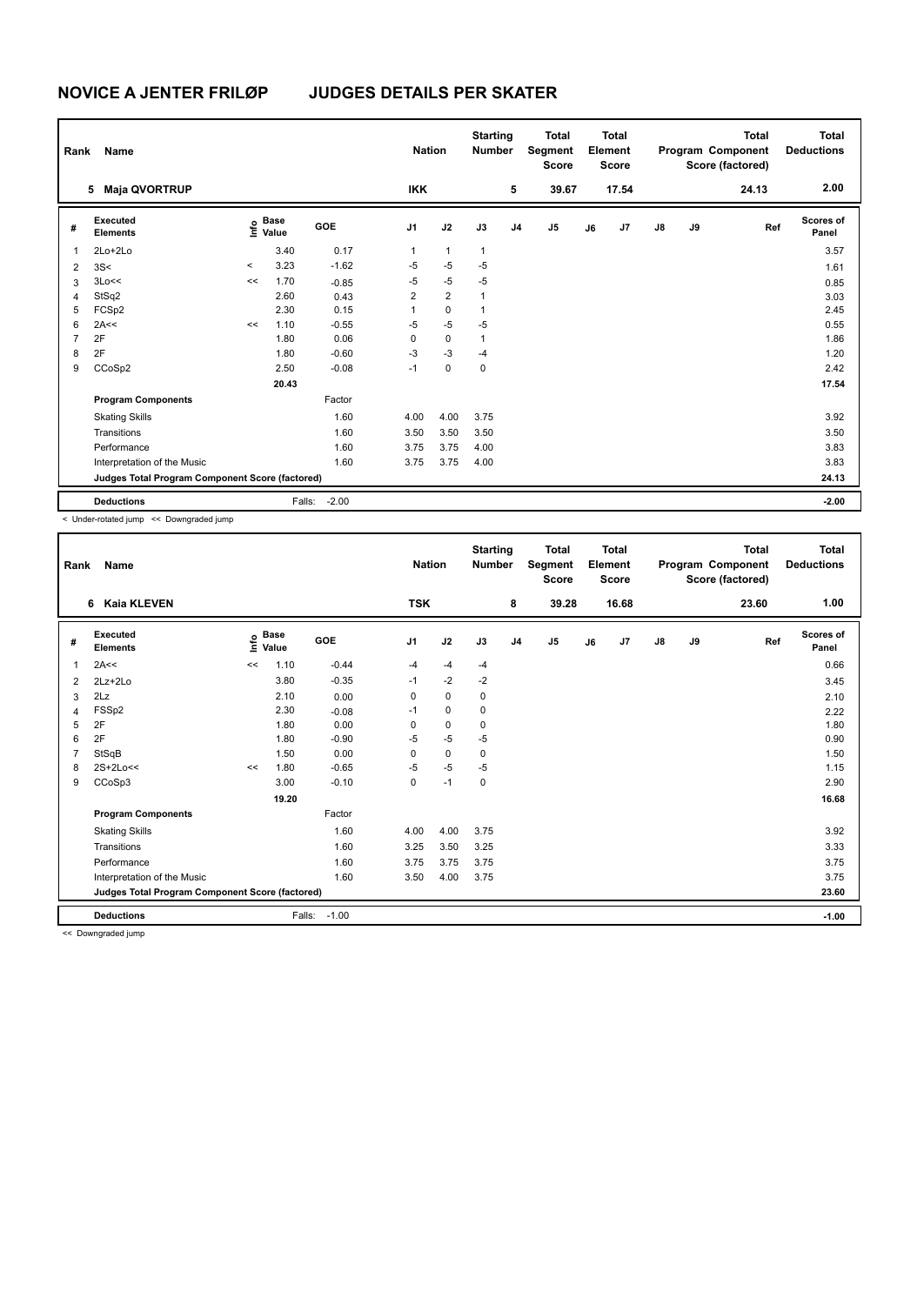| Rank           | Name                                            |         |                                             |         | <b>Nation</b>  |                | <b>Starting</b><br><b>Number</b> |    | <b>Total</b><br>Segment<br><b>Score</b> |    | <b>Total</b><br>Element<br><b>Score</b> |               |    | <b>Total</b><br>Program Component<br>Score (factored) | <b>Total</b><br><b>Deductions</b> |
|----------------|-------------------------------------------------|---------|---------------------------------------------|---------|----------------|----------------|----------------------------------|----|-----------------------------------------|----|-----------------------------------------|---------------|----|-------------------------------------------------------|-----------------------------------|
|                | <b>Maja QVORTRUP</b><br>5                       |         |                                             |         | <b>IKK</b>     |                |                                  | 5  | 39.67                                   |    | 17.54                                   |               |    | 24.13                                                 | 2.00                              |
| #              | Executed<br><b>Elements</b>                     |         | <b>Base</b><br>e <sup>Base</sup><br>⊆ Value | GOE     | J <sub>1</sub> | J2             | J3                               | J4 | J <sub>5</sub>                          | J6 | J7                                      | $\mathsf{J}8$ | J9 | Ref                                                   | Scores of<br>Panel                |
| 1              | 2Lo+2Lo                                         |         | 3.40                                        | 0.17    | 1              | $\mathbf{1}$   | $\mathbf{1}$                     |    |                                         |    |                                         |               |    |                                                       | 3.57                              |
| 2              | 3S<                                             | $\prec$ | 3.23                                        | $-1.62$ | $-5$           | $-5$           | $-5$                             |    |                                         |    |                                         |               |    |                                                       | 1.61                              |
| 3              | 3Lo<<                                           | <<      | 1.70                                        | $-0.85$ | $-5$           | $-5$           | $-5$                             |    |                                         |    |                                         |               |    |                                                       | 0.85                              |
| 4              | StSq2                                           |         | 2.60                                        | 0.43    | $\overline{2}$ | $\overline{2}$ | $\mathbf{1}$                     |    |                                         |    |                                         |               |    |                                                       | 3.03                              |
| 5              | FCSp2                                           |         | 2.30                                        | 0.15    | 1              | 0              | 1                                |    |                                         |    |                                         |               |    |                                                       | 2.45                              |
| 6              | 2A<<                                            | <<      | 1.10                                        | $-0.55$ | $-5$           | $-5$           | $-5$                             |    |                                         |    |                                         |               |    |                                                       | 0.55                              |
| $\overline{7}$ | 2F                                              |         | 1.80                                        | 0.06    | 0              | 0              | $\mathbf{1}$                     |    |                                         |    |                                         |               |    |                                                       | 1.86                              |
| 8              | 2F                                              |         | 1.80                                        | $-0.60$ | $-3$           | $-3$           | $-4$                             |    |                                         |    |                                         |               |    |                                                       | 1.20                              |
| 9              | CCoSp2                                          |         | 2.50                                        | $-0.08$ | $-1$           | 0              | 0                                |    |                                         |    |                                         |               |    |                                                       | 2.42                              |
|                |                                                 |         | 20.43                                       |         |                |                |                                  |    |                                         |    |                                         |               |    |                                                       | 17.54                             |
|                | <b>Program Components</b>                       |         |                                             | Factor  |                |                |                                  |    |                                         |    |                                         |               |    |                                                       |                                   |
|                | <b>Skating Skills</b>                           |         |                                             | 1.60    | 4.00           | 4.00           | 3.75                             |    |                                         |    |                                         |               |    |                                                       | 3.92                              |
|                | Transitions                                     |         |                                             | 1.60    | 3.50           | 3.50           | 3.50                             |    |                                         |    |                                         |               |    |                                                       | 3.50                              |
|                | Performance                                     |         |                                             | 1.60    | 3.75           | 3.75           | 4.00                             |    |                                         |    |                                         |               |    |                                                       | 3.83                              |
|                | Interpretation of the Music                     |         |                                             | 1.60    | 3.75           | 3.75           | 4.00                             |    |                                         |    |                                         |               |    |                                                       | 3.83                              |
|                | Judges Total Program Component Score (factored) |         |                                             |         |                |                |                                  |    |                                         |    |                                         |               |    |                                                       | 24.13                             |
|                | <b>Deductions</b>                               |         | Falls:                                      | $-2.00$ |                |                |                                  |    |                                         |    |                                         |               |    |                                                       | $-2.00$                           |

< Under-rotated jump << Downgraded jump

| Rank           | Name                                            |       |                      |            | <b>Nation</b>  |             | <b>Starting</b><br><b>Number</b> |                | <b>Total</b><br>Segment<br><b>Score</b> |    | <b>Total</b><br>Element<br><b>Score</b> |               |    | <b>Total</b><br>Program Component<br>Score (factored) | <b>Total</b><br><b>Deductions</b> |
|----------------|-------------------------------------------------|-------|----------------------|------------|----------------|-------------|----------------------------------|----------------|-----------------------------------------|----|-----------------------------------------|---------------|----|-------------------------------------------------------|-----------------------------------|
|                | <b>Kaia KLEVEN</b><br>6                         |       |                      |            | <b>TSK</b>     |             |                                  | 8              | 39.28                                   |    | 16.68                                   |               |    | 23.60                                                 | 1.00                              |
| #              | Executed<br><b>Elements</b>                     | Linfo | <b>Base</b><br>Value | <b>GOE</b> | J <sub>1</sub> | J2          | J3                               | J <sub>4</sub> | J5                                      | J6 | J7                                      | $\mathsf{J}8$ | J9 | Ref                                                   | Scores of<br>Panel                |
| $\mathbf{1}$   | 2A<<                                            | <<    | 1.10                 | $-0.44$    | $-4$           | -4          | $-4$                             |                |                                         |    |                                         |               |    |                                                       | 0.66                              |
| 2              | $2Lz+2Lo$                                       |       | 3.80                 | $-0.35$    | $-1$           | $-2$        | $-2$                             |                |                                         |    |                                         |               |    |                                                       | 3.45                              |
| 3              | 2Lz                                             |       | 2.10                 | 0.00       | 0              | $\mathbf 0$ | 0                                |                |                                         |    |                                         |               |    |                                                       | 2.10                              |
| 4              | FSSp2                                           |       | 2.30                 | $-0.08$    | $-1$           | 0           | 0                                |                |                                         |    |                                         |               |    |                                                       | 2.22                              |
| 5              | 2F                                              |       | 1.80                 | 0.00       | 0              | $\mathbf 0$ | 0                                |                |                                         |    |                                         |               |    |                                                       | 1.80                              |
| 6              | 2F                                              |       | 1.80                 | $-0.90$    | $-5$           | $-5$        | $-5$                             |                |                                         |    |                                         |               |    |                                                       | 0.90                              |
| $\overline{7}$ | StSqB                                           |       | 1.50                 | 0.00       | $\Omega$       | $\mathbf 0$ | 0                                |                |                                         |    |                                         |               |    |                                                       | 1.50                              |
| 8              | 2S+2Lo<<                                        | <<    | 1.80                 | $-0.65$    | $-5$           | -5          | $-5$                             |                |                                         |    |                                         |               |    |                                                       | 1.15                              |
| 9              | CCoSp3                                          |       | 3.00                 | $-0.10$    | 0              | $-1$        | $\mathbf 0$                      |                |                                         |    |                                         |               |    |                                                       | 2.90                              |
|                |                                                 |       | 19.20                |            |                |             |                                  |                |                                         |    |                                         |               |    |                                                       | 16.68                             |
|                | <b>Program Components</b>                       |       |                      | Factor     |                |             |                                  |                |                                         |    |                                         |               |    |                                                       |                                   |
|                | <b>Skating Skills</b>                           |       |                      | 1.60       | 4.00           | 4.00        | 3.75                             |                |                                         |    |                                         |               |    |                                                       | 3.92                              |
|                | Transitions                                     |       |                      | 1.60       | 3.25           | 3.50        | 3.25                             |                |                                         |    |                                         |               |    |                                                       | 3.33                              |
|                | Performance                                     |       |                      | 1.60       | 3.75           | 3.75        | 3.75                             |                |                                         |    |                                         |               |    |                                                       | 3.75                              |
|                | Interpretation of the Music                     |       |                      | 1.60       | 3.50           | 4.00        | 3.75                             |                |                                         |    |                                         |               |    |                                                       | 3.75                              |
|                | Judges Total Program Component Score (factored) |       |                      |            |                |             |                                  |                |                                         |    |                                         |               |    |                                                       | 23.60                             |
|                | <b>Deductions</b>                               |       | Falls:               | $-1.00$    |                |             |                                  |                |                                         |    |                                         |               |    |                                                       | $-1.00$                           |

<< Downgraded jump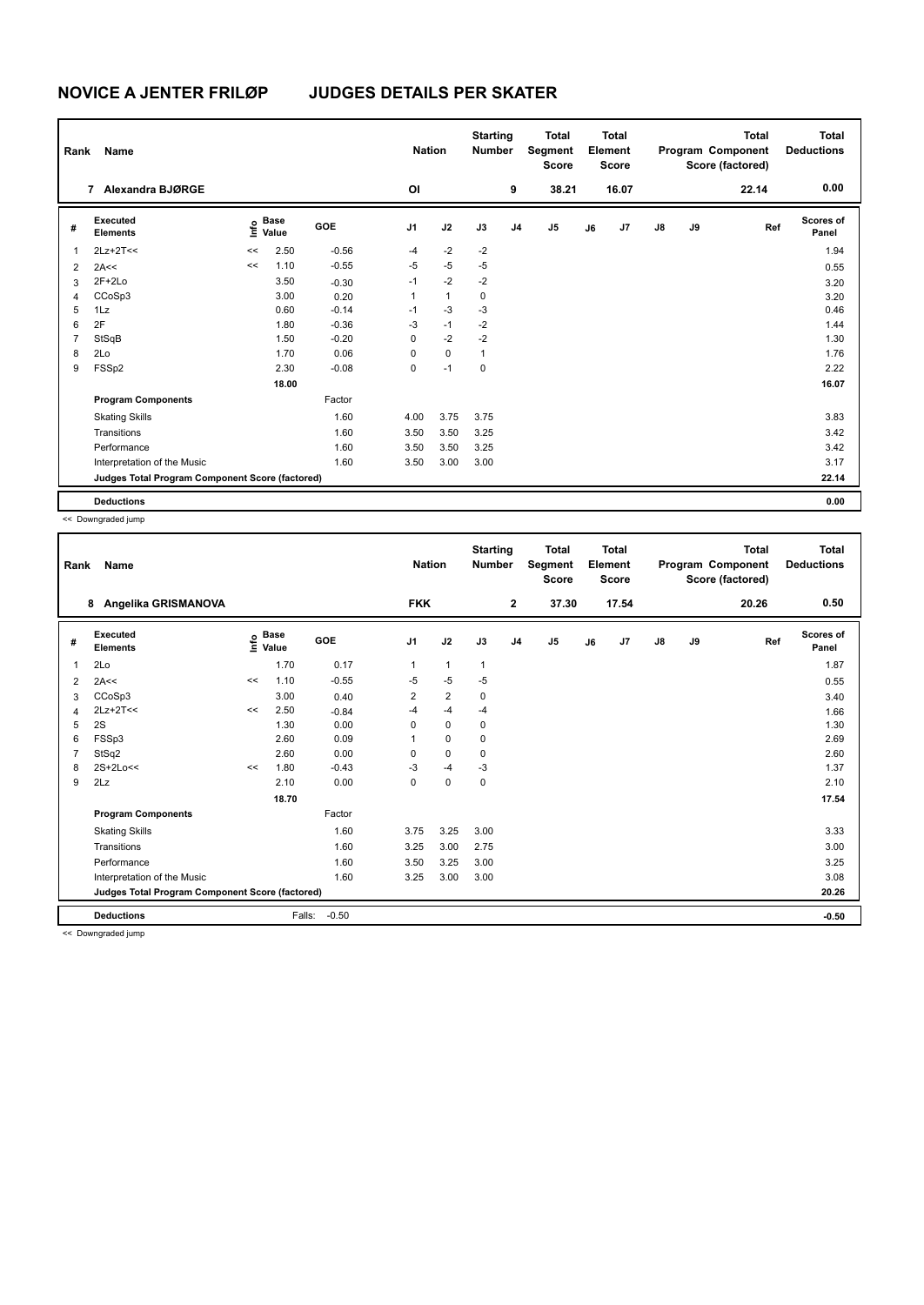| Rank           | <b>Name</b>                                     |       |                      |            | <b>Nation</b>  |              | <b>Starting</b><br><b>Number</b> |                | <b>Total</b><br>Segment<br><b>Score</b> |    | <b>Total</b><br>Element<br><b>Score</b> |               |    | <b>Total</b><br>Program Component<br>Score (factored) | <b>Total</b><br><b>Deductions</b> |
|----------------|-------------------------------------------------|-------|----------------------|------------|----------------|--------------|----------------------------------|----------------|-----------------------------------------|----|-----------------------------------------|---------------|----|-------------------------------------------------------|-----------------------------------|
|                | Alexandra BJØRGE<br>7                           |       |                      |            | OI             |              |                                  | 9              | 38.21                                   |    | 16.07                                   |               |    | 22.14                                                 | 0.00                              |
| #              | Executed<br><b>Elements</b>                     | ١nf٥  | <b>Base</b><br>Value | <b>GOE</b> | J <sub>1</sub> | J2           | J3                               | J <sub>4</sub> | J5                                      | J6 | J7                                      | $\mathsf{J}8$ | J9 | Ref                                                   | Scores of<br>Panel                |
| $\mathbf 1$    | $2Lz+2T<<$                                      | <<    | 2.50                 | $-0.56$    | $-4$           | $-2$         | $-2$                             |                |                                         |    |                                         |               |    |                                                       | 1.94                              |
| $\overline{2}$ | 2A<<                                            | $\,<$ | 1.10                 | $-0.55$    | $-5$           | $-5$         | $-5$                             |                |                                         |    |                                         |               |    |                                                       | 0.55                              |
| 3              | $2F+2Lo$                                        |       | 3.50                 | $-0.30$    | $-1$           | $-2$         | $-2$                             |                |                                         |    |                                         |               |    |                                                       | 3.20                              |
| $\overline{4}$ | CCoSp3                                          |       | 3.00                 | 0.20       | $\mathbf{1}$   | $\mathbf{1}$ | 0                                |                |                                         |    |                                         |               |    |                                                       | 3.20                              |
| 5              | 1Lz                                             |       | 0.60                 | $-0.14$    | $-1$           | $-3$         | $-3$                             |                |                                         |    |                                         |               |    |                                                       | 0.46                              |
| 6              | 2F                                              |       | 1.80                 | $-0.36$    | $-3$           | $-1$         | $-2$                             |                |                                         |    |                                         |               |    |                                                       | 1.44                              |
| 7              | StSqB                                           |       | 1.50                 | $-0.20$    | 0              | $-2$         | $-2$                             |                |                                         |    |                                         |               |    |                                                       | 1.30                              |
| 8              | 2Lo                                             |       | 1.70                 | 0.06       | 0              | $\mathbf 0$  | $\mathbf{1}$                     |                |                                         |    |                                         |               |    |                                                       | 1.76                              |
| 9              | FSSp2                                           |       | 2.30                 | $-0.08$    | 0              | $-1$         | $\pmb{0}$                        |                |                                         |    |                                         |               |    |                                                       | 2.22                              |
|                |                                                 |       | 18.00                |            |                |              |                                  |                |                                         |    |                                         |               |    |                                                       | 16.07                             |
|                | <b>Program Components</b>                       |       |                      | Factor     |                |              |                                  |                |                                         |    |                                         |               |    |                                                       |                                   |
|                | <b>Skating Skills</b>                           |       |                      | 1.60       | 4.00           | 3.75         | 3.75                             |                |                                         |    |                                         |               |    |                                                       | 3.83                              |
|                | Transitions                                     |       |                      | 1.60       | 3.50           | 3.50         | 3.25                             |                |                                         |    |                                         |               |    |                                                       | 3.42                              |
|                | Performance                                     |       |                      | 1.60       | 3.50           | 3.50         | 3.25                             |                |                                         |    |                                         |               |    |                                                       | 3.42                              |
|                | Interpretation of the Music                     |       |                      | 1.60       | 3.50           | 3.00         | 3.00                             |                |                                         |    |                                         |               |    |                                                       | 3.17                              |
|                | Judges Total Program Component Score (factored) |       |                      |            |                |              |                                  |                |                                         |    |                                         |               |    |                                                       | 22.14                             |
|                | <b>Deductions</b>                               |       |                      |            |                |              |                                  |                |                                         |    |                                         |               |    |                                                       | 0.00                              |

<< Downgraded jump

| Rank | Name                                                             |      |                      |            | <b>Nation</b>  |                | <b>Starting</b><br><b>Number</b> |                | <b>Total</b><br>Segment<br><b>Score</b> |    | <b>Total</b><br>Element<br><b>Score</b> |               |    | <b>Total</b><br>Program Component<br>Score (factored) | <b>Total</b><br><b>Deductions</b> |
|------|------------------------------------------------------------------|------|----------------------|------------|----------------|----------------|----------------------------------|----------------|-----------------------------------------|----|-----------------------------------------|---------------|----|-------------------------------------------------------|-----------------------------------|
|      | Angelika GRISMANOVA<br>8                                         |      |                      |            | <b>FKK</b>     |                |                                  | $\mathbf{2}$   | 37.30                                   |    | 17.54                                   |               |    | 20.26                                                 | 0.50                              |
| #    | Executed<br><b>Elements</b>                                      | ١nf٥ | <b>Base</b><br>Value | <b>GOE</b> | J <sub>1</sub> | J2             | J3                               | J <sub>4</sub> | J <sub>5</sub>                          | J6 | J7                                      | $\mathsf{J}8$ | J9 | Ref                                                   | <b>Scores of</b><br>Panel         |
| 1    | 2Lo                                                              |      | 1.70                 | 0.17       | $\mathbf{1}$   | $\mathbf{1}$   | $\mathbf{1}$                     |                |                                         |    |                                         |               |    |                                                       | 1.87                              |
| 2    | 2A<<                                                             | <<   | 1.10                 | $-0.55$    | $-5$           | $-5$           | $-5$                             |                |                                         |    |                                         |               |    |                                                       | 0.55                              |
| 3    | CCoSp3                                                           |      | 3.00                 | 0.40       | 2              | $\overline{2}$ | 0                                |                |                                         |    |                                         |               |    |                                                       | 3.40                              |
| 4    | $2Lz+2T<<$                                                       | <<   | 2.50                 | $-0.84$    | $-4$           | $-4$           | $-4$                             |                |                                         |    |                                         |               |    |                                                       | 1.66                              |
| 5    | 2S                                                               |      | 1.30                 | 0.00       | 0              | 0              | $\mathbf 0$                      |                |                                         |    |                                         |               |    |                                                       | 1.30                              |
| 6    | FSSp3                                                            |      | 2.60                 | 0.09       |                | 0              | 0                                |                |                                         |    |                                         |               |    |                                                       | 2.69                              |
|      | StSq2                                                            |      | 2.60                 | 0.00       | $\Omega$       | 0              | 0                                |                |                                         |    |                                         |               |    |                                                       | 2.60                              |
| 8    | 2S+2Lo<<                                                         | <<   | 1.80                 | $-0.43$    | -3             | $-4$           | $-3$                             |                |                                         |    |                                         |               |    |                                                       | 1.37                              |
| 9    | 2Lz                                                              |      | 2.10                 | 0.00       | 0              | 0              | $\mathbf 0$                      |                |                                         |    |                                         |               |    |                                                       | 2.10                              |
|      |                                                                  |      | 18.70                |            |                |                |                                  |                |                                         |    |                                         |               |    |                                                       | 17.54                             |
|      | <b>Program Components</b>                                        |      |                      | Factor     |                |                |                                  |                |                                         |    |                                         |               |    |                                                       |                                   |
|      | <b>Skating Skills</b>                                            |      |                      | 1.60       | 3.75           | 3.25           | 3.00                             |                |                                         |    |                                         |               |    |                                                       | 3.33                              |
|      | Transitions                                                      |      |                      | 1.60       | 3.25           | 3.00           | 2.75                             |                |                                         |    |                                         |               |    |                                                       | 3.00                              |
|      | Performance                                                      |      |                      | 1.60       | 3.50           | 3.25           | 3.00                             |                |                                         |    |                                         |               |    |                                                       | 3.25                              |
|      | Interpretation of the Music                                      |      |                      | 1.60       | 3.25           | 3.00           | 3.00                             |                |                                         |    |                                         |               |    |                                                       | 3.08                              |
|      | Judges Total Program Component Score (factored)                  |      |                      |            |                |                |                                  |                |                                         |    |                                         |               |    |                                                       | 20.26                             |
|      | <b>Deductions</b><br><b>Property</b> 1999 <b>Contract Street</b> |      | Falls:               | $-0.50$    |                |                |                                  |                |                                         |    |                                         |               |    |                                                       | $-0.50$                           |

<< Downgraded jump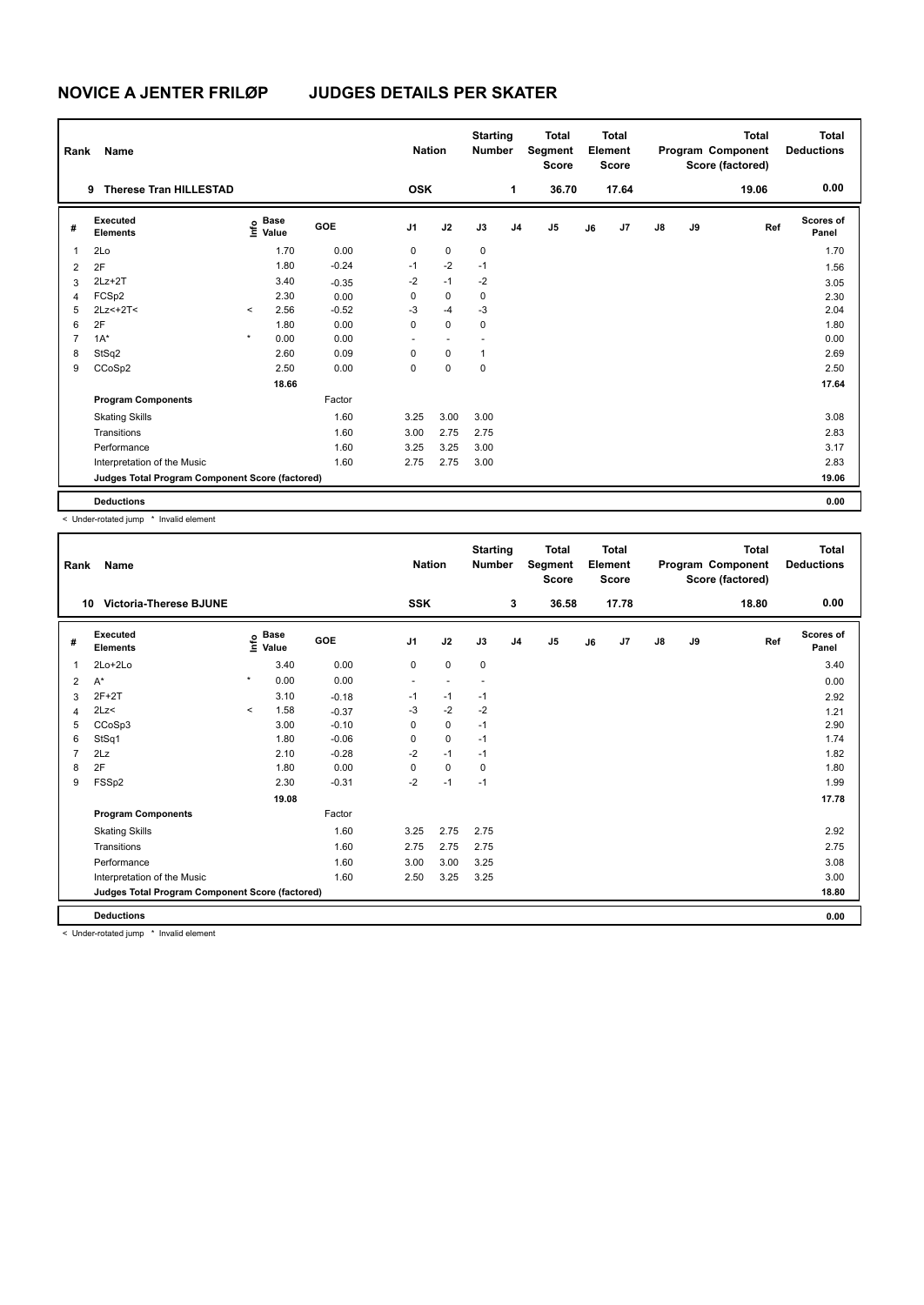| Rank           | Name                                            |         |                                  |            |                          | <b>Nation</b> | <b>Starting</b><br><b>Number</b> |                | Total<br>Segment<br><b>Score</b> |    | <b>Total</b><br>Element<br><b>Score</b> |               |    | <b>Total</b><br>Program Component<br>Score (factored) | <b>Total</b><br><b>Deductions</b> |
|----------------|-------------------------------------------------|---------|----------------------------------|------------|--------------------------|---------------|----------------------------------|----------------|----------------------------------|----|-----------------------------------------|---------------|----|-------------------------------------------------------|-----------------------------------|
|                | <b>Therese Tran HILLESTAD</b><br>9              |         |                                  |            | <b>OSK</b>               |               |                                  | 1              | 36.70                            |    | 17.64                                   |               |    | 19.06                                                 | 0.00                              |
| #              | <b>Executed</b><br><b>Elements</b>              |         | <b>Base</b><br>e Base<br>⊑ Value | <b>GOE</b> | J <sub>1</sub>           | J2            | J3                               | J <sub>4</sub> | J <sub>5</sub>                   | J6 | J7                                      | $\mathsf{J}8$ | J9 | Ref                                                   | Scores of<br>Panel                |
| 1              | 2Lo                                             |         | 1.70                             | 0.00       | 0                        | $\mathbf 0$   | $\mathbf 0$                      |                |                                  |    |                                         |               |    |                                                       | 1.70                              |
| 2              | 2F                                              |         | 1.80                             | $-0.24$    | $-1$                     | $-2$          | $-1$                             |                |                                  |    |                                         |               |    |                                                       | 1.56                              |
| 3              | $2Lz+2T$                                        |         | 3.40                             | $-0.35$    | $-2$                     | $-1$          | $-2$                             |                |                                  |    |                                         |               |    |                                                       | 3.05                              |
| 4              | FCSp2                                           |         | 2.30                             | 0.00       | 0                        | $\mathbf 0$   | $\mathbf 0$                      |                |                                  |    |                                         |               |    |                                                       | 2.30                              |
| 5              | $2Lz<+2T<$                                      | $\prec$ | 2.56                             | $-0.52$    | $-3$                     | $-4$          | $-3$                             |                |                                  |    |                                         |               |    |                                                       | 2.04                              |
| 6              | 2F                                              |         | 1.80                             | 0.00       | 0                        | $\mathbf 0$   | 0                                |                |                                  |    |                                         |               |    |                                                       | 1.80                              |
| $\overline{7}$ | $1A^*$                                          | $\star$ | 0.00                             | 0.00       | $\overline{\phantom{a}}$ | $\sim$        |                                  |                |                                  |    |                                         |               |    |                                                       | 0.00                              |
| 8              | StSq2                                           |         | 2.60                             | 0.09       | $\Omega$                 | $\Omega$      | $\mathbf{1}$                     |                |                                  |    |                                         |               |    |                                                       | 2.69                              |
| 9              | CCoSp2                                          |         | 2.50                             | 0.00       | 0                        | $\pmb{0}$     | $\mathbf 0$                      |                |                                  |    |                                         |               |    |                                                       | 2.50                              |
|                |                                                 |         | 18.66                            |            |                          |               |                                  |                |                                  |    |                                         |               |    |                                                       | 17.64                             |
|                | <b>Program Components</b>                       |         |                                  | Factor     |                          |               |                                  |                |                                  |    |                                         |               |    |                                                       |                                   |
|                | <b>Skating Skills</b>                           |         |                                  | 1.60       | 3.25                     | 3.00          | 3.00                             |                |                                  |    |                                         |               |    |                                                       | 3.08                              |
|                | Transitions                                     |         |                                  | 1.60       | 3.00                     | 2.75          | 2.75                             |                |                                  |    |                                         |               |    |                                                       | 2.83                              |
|                | Performance                                     |         |                                  | 1.60       | 3.25                     | 3.25          | 3.00                             |                |                                  |    |                                         |               |    |                                                       | 3.17                              |
|                | Interpretation of the Music                     |         |                                  | 1.60       | 2.75                     | 2.75          | 3.00                             |                |                                  |    |                                         |               |    |                                                       | 2.83                              |
|                | Judges Total Program Component Score (factored) |         |                                  |            |                          |               |                                  |                |                                  |    |                                         |               |    |                                                       | 19.06                             |
|                | <b>Deductions</b>                               |         |                                  |            |                          |               |                                  |                |                                  |    |                                         |               |    |                                                       | 0.00                              |

< Under-rotated jump \* Invalid element

| Rank           | Name                                            |         |                      |         | <b>Nation</b>            |             | <b>Starting</b><br><b>Number</b> |                | <b>Total</b><br>Segment<br><b>Score</b> |    | Total<br>Element<br><b>Score</b> |               |    | Total<br>Program Component<br>Score (factored) | Total<br><b>Deductions</b> |
|----------------|-------------------------------------------------|---------|----------------------|---------|--------------------------|-------------|----------------------------------|----------------|-----------------------------------------|----|----------------------------------|---------------|----|------------------------------------------------|----------------------------|
|                | <b>Victoria-Therese BJUNE</b><br>10             |         |                      |         | <b>SSK</b>               |             |                                  | 3              | 36.58                                   |    | 17.78                            |               |    | 18.80                                          | 0.00                       |
| #              | Executed<br><b>Elements</b>                     | Life    | <b>Base</b><br>Value | GOE     | J <sub>1</sub>           | J2          | J3                               | J <sub>4</sub> | J5                                      | J6 | J <sub>7</sub>                   | $\mathsf{J}8$ | J9 | Ref                                            | Scores of<br>Panel         |
| 1              | $2Lo+2Lo$                                       |         | 3.40                 | 0.00    | $\mathbf 0$              | $\mathbf 0$ | 0                                |                |                                         |    |                                  |               |    |                                                | 3.40                       |
| 2              | $A^*$                                           | $\star$ | 0.00                 | 0.00    | $\overline{\phantom{a}}$ | $\sim$      | $\overline{\phantom{a}}$         |                |                                         |    |                                  |               |    |                                                | 0.00                       |
| 3              | $2F+2T$                                         |         | 3.10                 | $-0.18$ | $-1$                     | $-1$        | $-1$                             |                |                                         |    |                                  |               |    |                                                | 2.92                       |
| 4              | 2Lz                                             | $\prec$ | 1.58                 | $-0.37$ | $-3$                     | $-2$        | $-2$                             |                |                                         |    |                                  |               |    |                                                | 1.21                       |
| 5              | CCoSp3                                          |         | 3.00                 | $-0.10$ | $\Omega$                 | $\mathbf 0$ | $-1$                             |                |                                         |    |                                  |               |    |                                                | 2.90                       |
| 6              | StSq1                                           |         | 1.80                 | $-0.06$ | 0                        | 0           | $-1$                             |                |                                         |    |                                  |               |    |                                                | 1.74                       |
| $\overline{7}$ | 2Lz                                             |         | 2.10                 | $-0.28$ | $-2$                     | $-1$        | $-1$                             |                |                                         |    |                                  |               |    |                                                | 1.82                       |
| 8              | 2F                                              |         | 1.80                 | 0.00    | $\Omega$                 | 0           | 0                                |                |                                         |    |                                  |               |    |                                                | 1.80                       |
| 9              | FSSp2                                           |         | 2.30                 | $-0.31$ | $-2$                     | $-1$        | $-1$                             |                |                                         |    |                                  |               |    |                                                | 1.99                       |
|                |                                                 |         | 19.08                |         |                          |             |                                  |                |                                         |    |                                  |               |    |                                                | 17.78                      |
|                | <b>Program Components</b>                       |         |                      | Factor  |                          |             |                                  |                |                                         |    |                                  |               |    |                                                |                            |
|                | <b>Skating Skills</b>                           |         |                      | 1.60    | 3.25                     | 2.75        | 2.75                             |                |                                         |    |                                  |               |    |                                                | 2.92                       |
|                | Transitions                                     |         |                      | 1.60    | 2.75                     | 2.75        | 2.75                             |                |                                         |    |                                  |               |    |                                                | 2.75                       |
|                | Performance                                     |         |                      | 1.60    | 3.00                     | 3.00        | 3.25                             |                |                                         |    |                                  |               |    |                                                | 3.08                       |
|                | Interpretation of the Music                     |         |                      | 1.60    | 2.50                     | 3.25        | 3.25                             |                |                                         |    |                                  |               |    |                                                | 3.00                       |
|                | Judges Total Program Component Score (factored) |         |                      |         |                          |             |                                  |                |                                         |    |                                  |               |    |                                                | 18.80                      |
|                | <b>Deductions</b>                               |         |                      |         |                          |             |                                  |                |                                         |    |                                  |               |    |                                                | 0.00                       |

< Under-rotated jump \* Invalid element